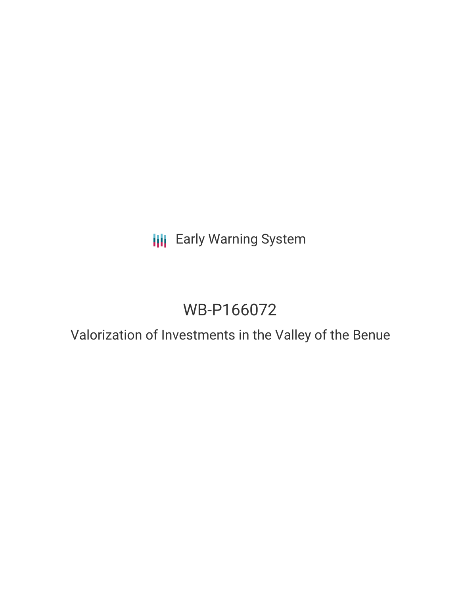**III** Early Warning System

# WB-P166072

Valorization of Investments in the Valley of the Benue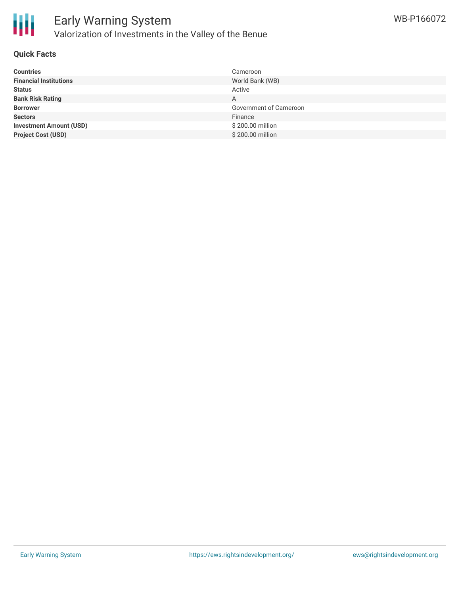

#### **Quick Facts**

| <b>Countries</b>               | Cameroon               |
|--------------------------------|------------------------|
| <b>Financial Institutions</b>  | World Bank (WB)        |
| <b>Status</b>                  | Active                 |
| <b>Bank Risk Rating</b>        | A                      |
| <b>Borrower</b>                | Government of Cameroon |
| <b>Sectors</b>                 | Finance                |
| <b>Investment Amount (USD)</b> | \$200.00 million       |
| <b>Project Cost (USD)</b>      | \$200.00 million       |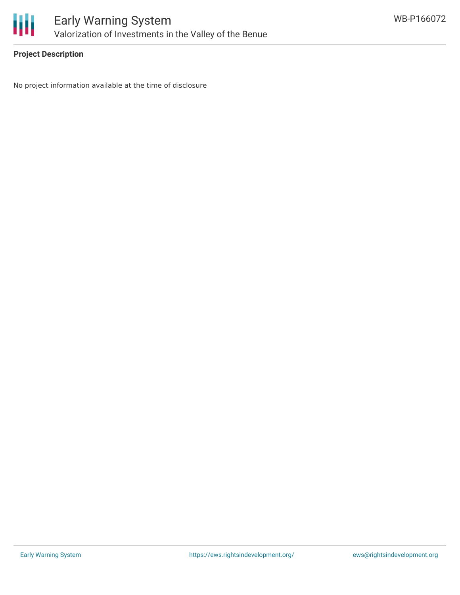

### **Project Description**

No project information available at the time of disclosure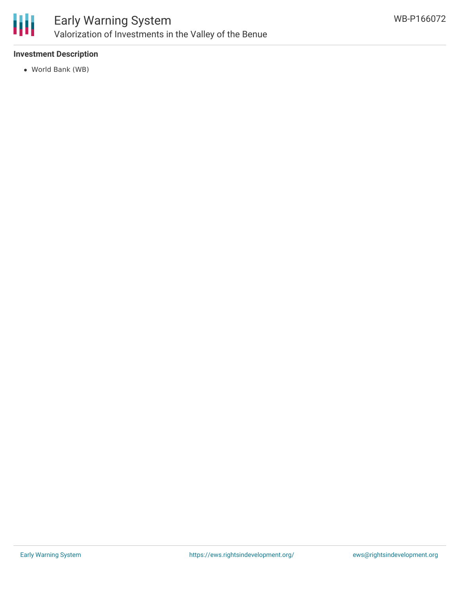

#### **Investment Description**

World Bank (WB)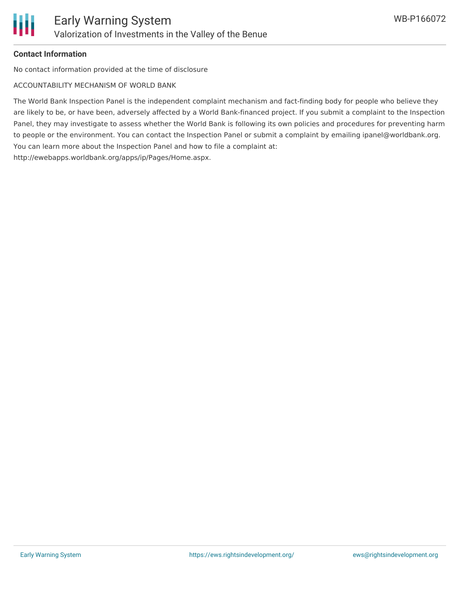

#### **Contact Information**

No contact information provided at the time of disclosure

ACCOUNTABILITY MECHANISM OF WORLD BANK

The World Bank Inspection Panel is the independent complaint mechanism and fact-finding body for people who believe they are likely to be, or have been, adversely affected by a World Bank-financed project. If you submit a complaint to the Inspection Panel, they may investigate to assess whether the World Bank is following its own policies and procedures for preventing harm to people or the environment. You can contact the Inspection Panel or submit a complaint by emailing ipanel@worldbank.org. You can learn more about the Inspection Panel and how to file a complaint at: http://ewebapps.worldbank.org/apps/ip/Pages/Home.aspx.